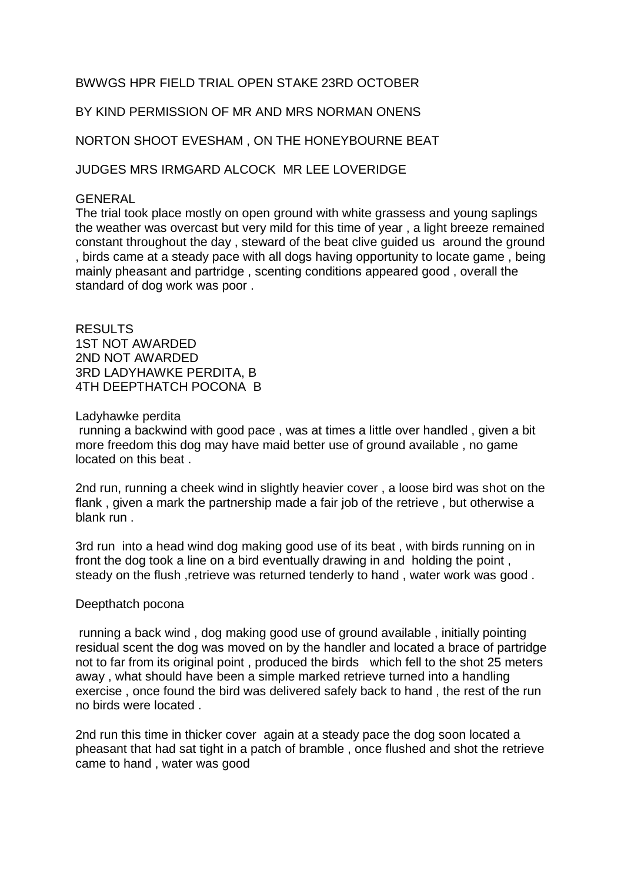## BWWGS HPR FIELD TRIAL OPEN STAKE 23RD OCTOBER

BY KIND PERMISSION OF MR AND MRS NORMAN ONENS

NORTON SHOOT EVESHAM , ON THE HONEYBOURNE BEAT

JUDGES MRS IRMGARD ALCOCK MR LEE LOVERIDGE

## GENERAL

The trial took place mostly on open ground with white grassess and young saplings the weather was overcast but very mild for this time of year , a light breeze remained constant throughout the day , steward of the beat clive guided us around the ground , birds came at a steady pace with all dogs having opportunity to locate game , being mainly pheasant and partridge , scenting conditions appeared good , overall the standard of dog work was poor .

RESULTS 1ST NOT AWARDED 2ND NOT AWARDED 3RD LADYHAWKE PERDITA, B 4TH DEEPTHATCH POCONA B

Ladyhawke perdita

running a backwind with good pace , was at times a little over handled , given a bit more freedom this dog may have maid better use of ground available , no game located on this beat .

2nd run, running a cheek wind in slightly heavier cover , a loose bird was shot on the flank , given a mark the partnership made a fair job of the retrieve , but otherwise a blank run .

3rd run into a head wind dog making good use of its beat , with birds running on in front the dog took a line on a bird eventually drawing in and holding the point , steady on the flush, retrieve was returned tenderly to hand, water work was good.

## Deepthatch pocona

running a back wind , dog making good use of ground available , initially pointing residual scent the dog was moved on by the handler and located a brace of partridge not to far from its original point , produced the birds which fell to the shot 25 meters away , what should have been a simple marked retrieve turned into a handling exercise , once found the bird was delivered safely back to hand , the rest of the run no birds were located .

2nd run this time in thicker cover again at a steady pace the dog soon located a pheasant that had sat tight in a patch of bramble , once flushed and shot the retrieve came to hand , water was good